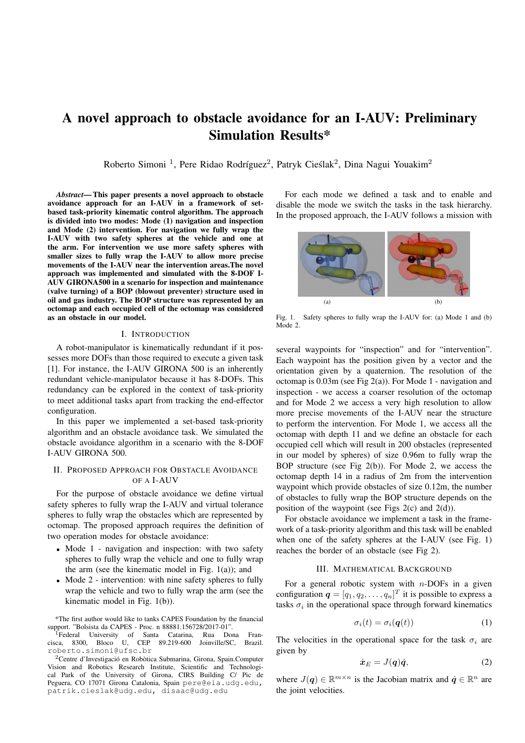# A novel approach to obstacle avoidance for an I-AUV: Preliminary Simulation Results\*

Roberto Simoni<sup>1</sup>, Pere Ridao Rodríguez<sup>2</sup>, Patryk Cieślak<sup>2</sup>, Dina Nagui Youakim<sup>2</sup>

*Abstract*— This paper presents a novel approach to obstacle avoidance approach for an I-AUV in a framework of setbased task-priority kinematic control algorithm. The approach is divided into two modes: Mode (1) navigation and inspection and Mode (2) intervention. For navigation we fully wrap the I-AUV with two safety spheres at the vehicle and one at the arm. For intervention we use more safety spheres with smaller sizes to fully wrap the I-AUV to allow more precise movements of the I-AUV near the intervention areas.The novel approach was implemented and simulated with the 8-DOF I-AUV GIRONA500 in a scenario for inspection and maintenance (valve turning) of a BOP (blowout preventer) structure used in oil and gas industry. The BOP structure was represented by an octomap and each occupied cell of the octomap was considered as an obstacle in our model.

## I. INTRODUCTION

A robot-manipulator is kinematically redundant if it possesses more DOFs than those required to execute a given task [1]. For instance, the I-AUV GIRONA 500 is an inherently redundant vehicle-manipulator because it has 8-DOFs. This redundancy can be explored in the context of task-priority to meet additional tasks apart from tracking the end-effector configuration.

In this paper we implemented a set-based task-priority algorithm and an obstacle avoidance task. We simulated the obstacle avoidance algorithm in a scenario with the 8-DOF I-AUV GIRONA 500.

# II. PROPOSED APPROACH FOR OBSTACLE AVOIDANCE OF A I-AUV

For the purpose of obstacle avoidance we define virtual safety spheres to fully wrap the I-AUV and virtual tolerance spheres to fully wrap the obstacles which are represented by octomap. The proposed approach requires the definition of two operation modes for obstacle avoidance:

- Mode 1 navigation and inspection: with two safety spheres to fully wrap the vehicle and one to fully wrap the arm (see the kinematic model in Fig.  $1(a)$ ); and
- Mode 2 intervention: with nine safety spheres to fully wrap the vehicle and two to fully wrap the arm (see the kinematic model in Fig. 1(b)).

For each mode we defined a task and to enable and disable the mode we switch the tasks in the task hierarchy. In the proposed approach, the I-AUV follows a mission with



Fig. 1. Safety spheres to fully wrap the I-AUV for: (a) Mode 1 and (b) Mode 2.

several waypoints for "inspection" and for "intervention". Each waypoint has the position given by a vector and the orientation given by a quaternion. The resolution of the octomap is  $0.03m$  (see Fig 2(a)). For Mode 1 - navigation and inspection - we access a coarser resolution of the octomap and for Mode 2 we access a very high resolution to allow more precise movements of the I-AUV near the structure to perform the intervention. For Mode 1, we access all the octomap with depth 11 and we define an obstacle for each occupied cell which will result in 200 obstacles (represented in our model by spheres) of size 0.96m to fully wrap the BOP structure (see Fig 2(b)). For Mode 2, we access the octomap depth 14 in a radius of 2m from the intervention waypoint which provide obstacles of size 0.12m, the number of obstacles to fully wrap the BOP structure depends on the position of the waypoint (see Figs  $2(c)$  and  $2(d)$ ).

For obstacle avoidance we implement a task in the framework of a task-priority algorithm and this task will be enabled when one of the safety spheres at the I-AUV (see Fig. 1) reaches the border of an obstacle (see Fig 2).

## III. MATHEMATICAL BACKGROUND

For a general robotic system with  $n$ -DOFs in a given configuration  $q = [q_1, q_2, \dots, q_n]^T$  it is possible to express a tasks  $\sigma_i$  in the operational space through forward kinematics

$$
\sigma_i(t) = \sigma_i(\boldsymbol{q}(t)) \tag{1}
$$

The velocities in the operational space for the task  $\sigma_i$  are given by

$$
\dot{\boldsymbol{x}}_E = J(\boldsymbol{q})\dot{\boldsymbol{q}},\tag{2}
$$

where  $J(q) \in \mathbb{R}^{m \times n}$  is the Jacobian matrix and  $\dot{q} \in \mathbb{R}^n$  are the joint velocities.

<sup>\*</sup>The first author would like to tanks CAPES Foundation by the financial support. "Bolsista da CAPES - Proc. n 88881.156728/2017-01".

<sup>&</sup>lt;sup>1</sup>Federal University of Santa Catarina, Rua Dona Francisca, 8300, Bloco U, CEP 89.219-600 Joinville/SC, Brazil. roberto.simoni@ufsc.br

 $2$ Centre d'Investigació en Robòtica Submarina, Girona, Spain.Computer Vision and Robotics Research Institute, Scientific and Technological Park of the University of Girona, CIRS Building C/ Pic de Peguera, CO 17071 Girona Catalonia, Spain pere@eia.udg.edu, patrik.cieslak@udg.edu, disaac@udg.edu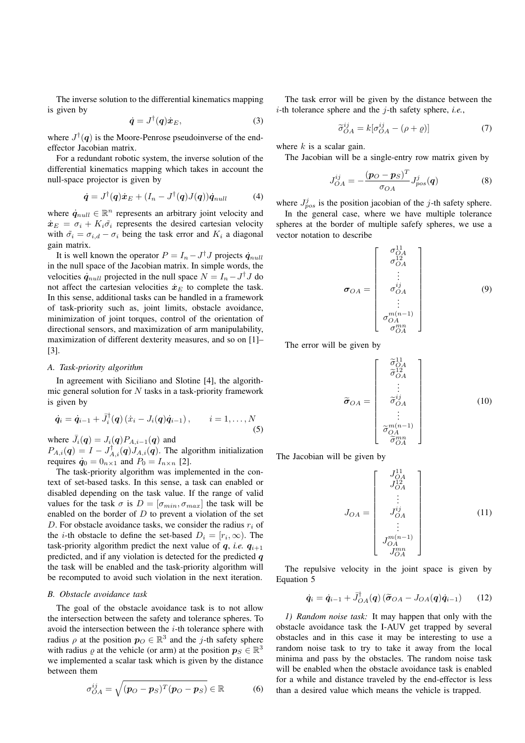The inverse solution to the differential kinematics mapping is given by

$$
\dot{\boldsymbol{q}} = J^{\dagger}(\boldsymbol{q}) \dot{\boldsymbol{x}}_{E}, \tag{3}
$$

where  $J^{\dagger}(\boldsymbol{q})$  is the Moore-Penrose pseudoinverse of the endeffector Jacobian matrix.

For a redundant robotic system, the inverse solution of the differential kinematics mapping which takes in account the null-space projector is given by

$$
\dot{\boldsymbol{q}} = J^{\dagger}(\boldsymbol{q})\dot{\boldsymbol{x}}_{E} + (I_{n} - J^{\dagger}(\boldsymbol{q})J(\boldsymbol{q}))\dot{\boldsymbol{q}}_{null} \tag{4}
$$

where  $\dot{q}_{null} \in \mathbb{R}^n$  represents an arbitrary joint velocity and  $\dot{\boldsymbol{x}}_E = \sigma_i + K_i \tilde{\sigma}_i$  represents the desired cartesian velocity with  $\tilde{\sigma}_i = \sigma_{i,d} - \sigma_i$  being the task error and  $K_i$  a diagonal gain matrix.

It is well known the operator  $P = I_n - J^{\dagger} J$  projects  $\dot{q}_{null}$ in the null space of the Jacobian matrix. In simple words, the velocities  $\dot{q}_{null}$  projected in the null space  $N = I_n - J^{\dagger} J$  do not affect the cartesian velocities  $\dot{x}_E$  to complete the task. In this sense, additional tasks can be handled in a framework of task-priority such as, joint limits, obstacle avoidance, minimization of joint torques, control of the orientation of directional sensors, and maximization of arm manipulability, maximization of different dexterity measures, and so on [1]– [3].

#### *A. Task-priority algorithm*

In agreement with Siciliano and Slotine [4], the algorithmic general solution for  $N$  tasks in a task-priority framework is given by

$$
\dot{\boldsymbol{q}}_i = \dot{\boldsymbol{q}}_{i-1} + \bar{J}_i^{\dagger}(\boldsymbol{q}) \left( \dot{x}_i - J_i(\boldsymbol{q}) \dot{\boldsymbol{q}}_{i-1} \right), \qquad i = 1, \ldots, N \tag{5}
$$

where  $\bar{J}_i(\mathbf{q}) = J_i(\mathbf{q}) P_{A,i-1}(\mathbf{q})$  and  $P_{A,i}(\boldsymbol{q}) = I - J_{A,i}^{\dagger}(\boldsymbol{q}) J_{A,i}(\boldsymbol{q})$ . The algorithm initialization requires  $\dot{\mathbf{q}}_0 = 0_{n \times 1}$  and  $P_0 = I_{n \times n}$  [2].

The task-priority algorithm was implemented in the context of set-based tasks. In this sense, a task can enabled or disabled depending on the task value. If the range of valid values for the task  $\sigma$  is  $D = [\sigma_{min}, \sigma_{max}]$  the task will be enabled on the border of  $D$  to prevent a violation of the set D. For obstacle avoidance tasks, we consider the radius  $r_i$  of the *i*-th obstacle to define the set-based  $D_i = [r_i, \infty)$ . The task-priority algorithm predict the next value of  $q$ , *i.e.*  $q_{i+1}$ predicted, and if any violation is detected for the predicted  $q$ the task will be enabled and the task-priority algorithm will be recomputed to avoid such violation in the next iteration.

## *B. Obstacle avoidance task*

The goal of the obstacle avoidance task is to not allow the intersection between the safety and tolerance spheres. To avoid the intersection between the  $i$ -th tolerance sphere with radius  $\rho$  at the position  $p_O \in \mathbb{R}^3$  and the j-th safety sphere with radius  $\varrho$  at the vehicle (or arm) at the position  $p_S \in \mathbb{R}^3$ we implemented a scalar task which is given by the distance between them

$$
\sigma_{OA}^{ij} = \sqrt{(p_O - p_S)^T (p_O - p_S)} \in \mathbb{R}
$$
 (6)

The task error will be given by the distance between the i-th tolerance sphere and the j-th safety sphere, *i.e.*,

$$
\widetilde{\sigma}_{OA}^{ij} = k[\sigma_{OA}^{ij} - (\rho + \varrho)] \tag{7}
$$

where  $k$  is a scalar gain.

The Jacobian will be a single-entry row matrix given by

$$
J_{OA}^{ij} = -\frac{(\bm{p}_O - \bm{p}_S)^T}{\sigma_{OA}} J_{pos}^j(\bm{q})
$$
 (8)

where  $J_{pos}^{j}$  is the position jacobian of the j-th safety sphere.

In the general case, where we have multiple tolerance spheres at the border of multiple safefy spheres, we use a vector notation to describe

$$
\sigma_{OA} = \begin{bmatrix} \sigma_{OA}^{11} \\ \sigma_{OA}^{12} \\ \vdots \\ \sigma_{OA}^{ij} \\ \vdots \\ \sigma_{OA}^{m(n-1)} \\ \sigma_{OA}^{mn} \\ \sigma_{OA}^{mn} \end{bmatrix}
$$
 (9)

The error will be given by

$$
\tilde{\boldsymbol{\sigma}}_{OA} = \begin{bmatrix} \tilde{\sigma}_{OA}^{11} \\ \tilde{\sigma}_{OA}^{12} \\ \vdots \\ \tilde{\sigma}_{OA}^{ij} \\ \vdots \\ \tilde{\sigma}_{OA}^{m(n-1)} \\ \tilde{\sigma}_{OA}^{mn} \end{bmatrix}
$$
 (10)

The Jacobian will be given by

$$
J_{OA} = \begin{bmatrix} J_{OA}^{11} \\ J_{OA}^{12} \\ \vdots \\ J_{OA}^{ij} \\ \vdots \\ J_{OA}^{m(n-1)} \\ J_{OA}^{m} \end{bmatrix}
$$
 (11)

The repulsive velocity in the joint space is given by Equation 5

$$
\dot{\boldsymbol{q}}_i = \dot{\boldsymbol{q}}_{i-1} + \bar{J}_{OA}^{\dagger}(\boldsymbol{q}) \left( \tilde{\boldsymbol{\sigma}}_{OA} - J_{OA}(\boldsymbol{q}) \dot{\boldsymbol{q}}_{i-1} \right) \qquad (12)
$$

*1) Random noise task:* It may happen that only with the obstacle avoidance task the I-AUV get trapped by several obstacles and in this case it may be interesting to use a random noise task to try to take it away from the local minima and pass by the obstacles. The random noise task will be enabled when the obstacle avoidance task is enabled for a while and distance traveled by the end-effector is less than a desired value which means the vehicle is trapped.